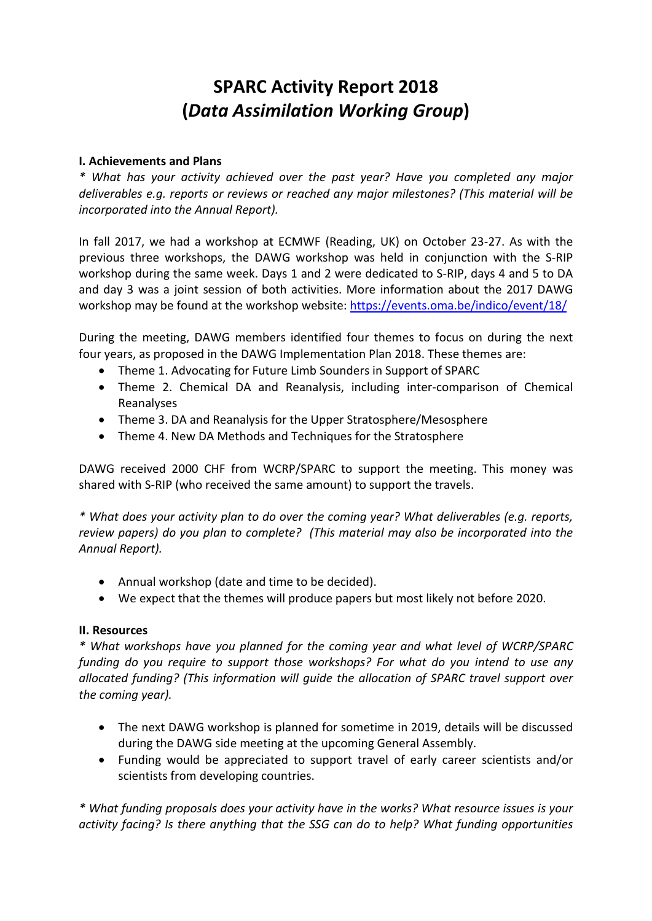# **SPARC Activity Report 2018 (***Data Assimilation Working Group***)**

## **I. Achievements and Plans**

*\* What has your activity achieved over the past year? Have you completed any major deliverables e.g. reports or reviews or reached any major milestones? (This material will be incorporated into the Annual Report).*

In fall 2017, we had a workshop at ECMWF (Reading, UK) on October 23-27. As with the previous three workshops, the DAWG workshop was held in conjunction with the S-RIP workshop during the same week. Days 1 and 2 were dedicated to S-RIP, days 4 and 5 to DA and day 3 was a joint session of both activities. More information about the 2017 DAWG workshop may be found at the workshop website: https://events.oma.be/indico/event/18/

During the meeting, DAWG members identified four themes to focus on during the next four years, as proposed in the DAWG Implementation Plan 2018. These themes are:

- Theme 1. Advocating for Future Limb Sounders in Support of SPARC
- Theme 2. Chemical DA and Reanalysis, including inter-comparison of Chemical Reanalyses
- Theme 3. DA and Reanalysis for the Upper Stratosphere/Mesosphere
- Theme 4. New DA Methods and Techniques for the Stratosphere

DAWG received 2000 CHF from WCRP/SPARC to support the meeting. This money was shared with S-RIP (who received the same amount) to support the travels.

*\* What does your activity plan to do over the coming year? What deliverables (e.g. reports, review papers) do you plan to complete? (This material may also be incorporated into the Annual Report).*

- Annual workshop (date and time to be decided).
- We expect that the themes will produce papers but most likely not before 2020.

# **II. Resources**

*\* What workshops have you planned for the coming year and what level of WCRP/SPARC funding do you require to support those workshops? For what do you intend to use any allocated funding? (This information will guide the allocation of SPARC travel support over the coming year).*

- The next DAWG workshop is planned for sometime in 2019, details will be discussed during the DAWG side meeting at the upcoming General Assembly.
- Funding would be appreciated to support travel of early career scientists and/or scientists from developing countries.

*\* What funding proposals does your activity have in the works? What resource issues is your activity facing? Is there anything that the SSG can do to help? What funding opportunities*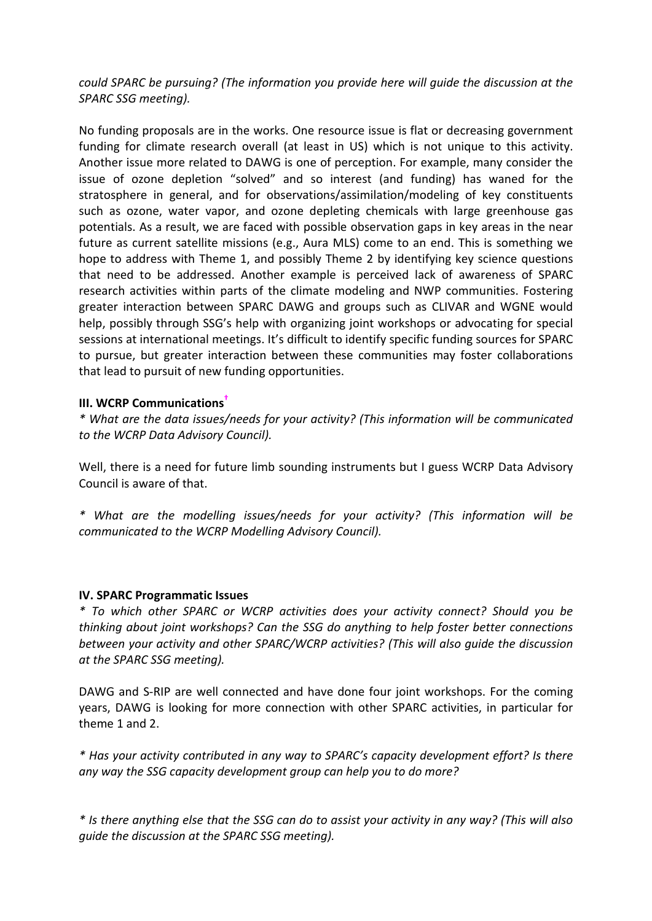*could SPARC be pursuing? (The information you provide here will guide the discussion at the SPARC SSG meeting).*

No funding proposals are in the works. One resource issue is flat or decreasing government funding for climate research overall (at least in US) which is not unique to this activity. Another issue more related to DAWG is one of perception. For example, many consider the issue of ozone depletion "solved" and so interest (and funding) has waned for the stratosphere in general, and for observations/assimilation/modeling of key constituents such as ozone, water vapor, and ozone depleting chemicals with large greenhouse gas potentials. As a result, we are faced with possible observation gaps in key areas in the near future as current satellite missions (e.g., Aura MLS) come to an end. This is something we hope to address with Theme 1, and possibly Theme 2 by identifying key science questions that need to be addressed. Another example is perceived lack of awareness of SPARC research activities within parts of the climate modeling and NWP communities. Fostering greater interaction between SPARC DAWG and groups such as CLIVAR and WGNE would help, possibly through SSG's help with organizing joint workshops or advocating for special sessions at international meetings. It's difficult to identify specific funding sources for SPARC to pursue, but greater interaction between these communities may foster collaborations that lead to pursuit of new funding opportunities.

## **III. WCRP Communications†**

*\* What are the data issues/needs for your activity? (This information will be communicated to the WCRP Data Advisory Council).*

Well, there is a need for future limb sounding instruments but I guess WCRP Data Advisory Council is aware of that.

*\* What are the modelling issues/needs for your activity? (This information will be communicated to the WCRP Modelling Advisory Council).*

#### **IV. SPARC Programmatic Issues**

*\* To which other SPARC or WCRP activities does your activity connect? Should you be thinking about joint workshops? Can the SSG do anything to help foster better connections between your activity and other SPARC/WCRP activities? (This will also guide the discussion at the SPARC SSG meeting).*

DAWG and S-RIP are well connected and have done four joint workshops. For the coming years, DAWG is looking for more connection with other SPARC activities, in particular for theme 1 and 2.

*\* Has your activity contributed in any way to SPARC's capacity development effort? Is there any way the SSG capacity development group can help you to do more?*

*\* Is there anything else that the SSG can do to assist your activity in any way? (This will also guide the discussion at the SPARC SSG meeting).*